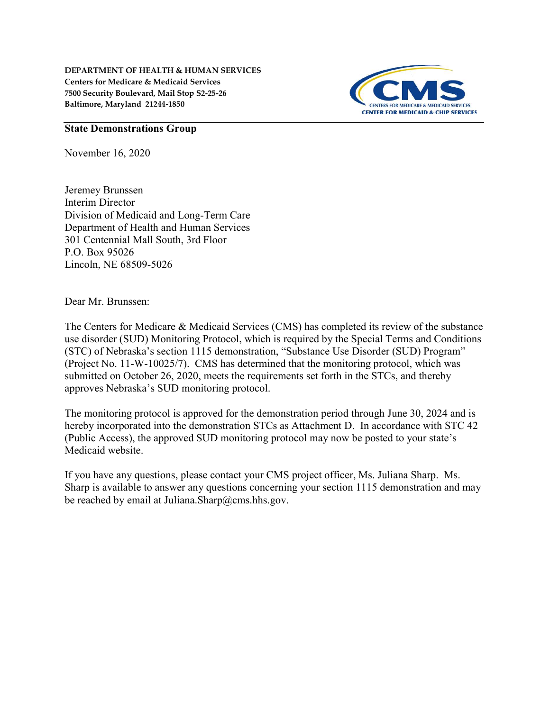DEPARTMENT OF HEALTH & HUMAN SERVICES Centers for Medicare & Medicaid Services 7500 Security Boulevard, Mail Stop S2-25-26 Baltimore, Maryland 21244-1850



## State Demonstrations Group

November 16, 2020

Jeremey Brunssen Interim Director Division of Medicaid and Long-Term Care Department of Health and Human Services 301 Centennial Mall South, 3rd Floor P.O. Box 95026 Lincoln, NE 68509-5026

Dear Mr. Brunssen:

The Centers for Medicare & Medicaid Services (CMS) has completed its review of the substance use disorder (SUD) Monitoring Protocol, which is required by the Special Terms and Conditions (STC) of Nebraska's section 1115 demonstration, "Substance Use Disorder (SUD) Program" (Project No. 11-W-10025/7). CMS has determined that the monitoring protocol, which was submitted on October 26, 2020, meets the requirements set forth in the STCs, and thereby approves Nebraska's SUD monitoring protocol.

The monitoring protocol is approved for the demonstration period through June 30, 2024 and is hereby incorporated into the demonstration STCs as Attachment D. In accordance with STC 42 (Public Access), the approved SUD monitoring protocol may now be posted to your state's Medicaid website.

If you have any questions, please contact your CMS project officer, Ms. Juliana Sharp. Ms. Sharp is available to answer any questions concerning your section 1115 demonstration and may be reached by email at Juliana.Sharp@cms.hhs.gov.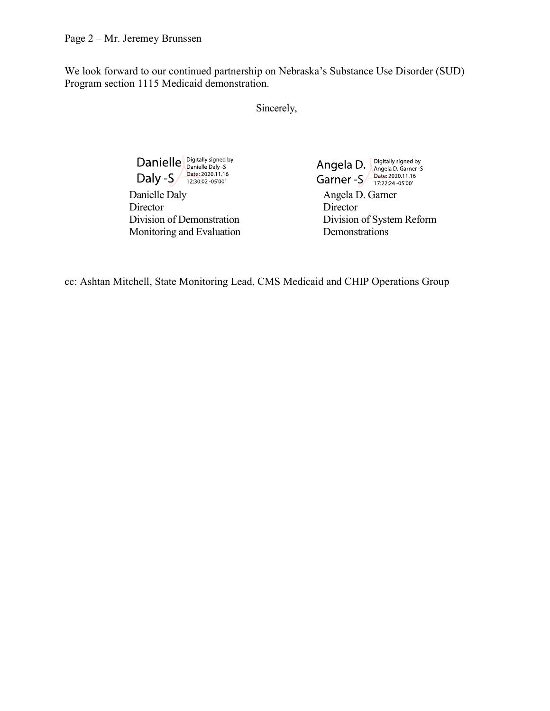We look forward to our continued partnership on Nebraska's Substance Use Disorder (SUD) Program section 1115 Medicaid demonstration.

Sincerely,

Director<br>Division of Demonstration<br>Division<br>Division Monitoring and Evaluation Demonstrations

Danielle Digitally signed by<br>
Daly -S Date: 2020.11.16<br>
Daly -S Date: 2020.11.16<br>
Danielle Daly Angela D. Garner -S Date: 2020.11.16<br>
Angela D. Garner -S Date: 2020.11.16<br>
Angela D. Garner Angela D. Angela D. Garner-S Date: 2020.11.16

Division of System Reform

cc: Ashtan Mitchell, State Monitoring Lead, CMS Medicaid and CHIP Operations Group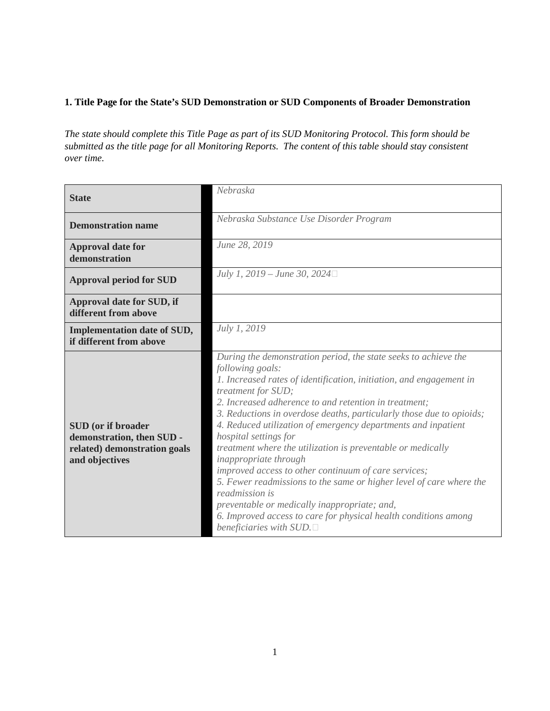# **1. Title Page for the State's SUD Demonstration or SUD Components of Broader Demonstration**

*The state should complete this Title Page as part of its SUD Monitoring Protocol. This form should be submitted as the title page for all Monitoring Reports. The content of this table should stay consistent over time.*

| <b>State</b>                                                                                             | Nebraska                                                                                                                                                                                                                                                                                                                                                                                                                                                                                                                                                                                                                                                                                                                                                                                              |  |  |  |
|----------------------------------------------------------------------------------------------------------|-------------------------------------------------------------------------------------------------------------------------------------------------------------------------------------------------------------------------------------------------------------------------------------------------------------------------------------------------------------------------------------------------------------------------------------------------------------------------------------------------------------------------------------------------------------------------------------------------------------------------------------------------------------------------------------------------------------------------------------------------------------------------------------------------------|--|--|--|
| <b>Demonstration name</b>                                                                                | Nebraska Substance Use Disorder Program                                                                                                                                                                                                                                                                                                                                                                                                                                                                                                                                                                                                                                                                                                                                                               |  |  |  |
| <b>Approval date for</b><br>demonstration                                                                | June 28, 2019                                                                                                                                                                                                                                                                                                                                                                                                                                                                                                                                                                                                                                                                                                                                                                                         |  |  |  |
| <b>Approval period for SUD</b>                                                                           | July 1, 2019 – June 30, 2024 $\Box$                                                                                                                                                                                                                                                                                                                                                                                                                                                                                                                                                                                                                                                                                                                                                                   |  |  |  |
| Approval date for SUD, if<br>different from above                                                        |                                                                                                                                                                                                                                                                                                                                                                                                                                                                                                                                                                                                                                                                                                                                                                                                       |  |  |  |
| <b>Implementation date of SUD,</b><br>if different from above                                            | July 1, 2019                                                                                                                                                                                                                                                                                                                                                                                                                                                                                                                                                                                                                                                                                                                                                                                          |  |  |  |
| <b>SUD</b> (or if broader<br>demonstration, then SUD -<br>related) demonstration goals<br>and objectives | During the demonstration period, the state seeks to achieve the<br>following goals:<br>1. Increased rates of identification, initiation, and engagement in<br>treatment for SUD;<br>2. Increased adherence to and retention in treatment;<br>3. Reductions in overdose deaths, particularly those due to opioids;<br>4. Reduced utilization of emergency departments and inpatient<br>hospital settings for<br>treatment where the utilization is preventable or medically<br>inappropriate through<br>improved access to other continuum of care services;<br>5. Fewer readmissions to the same or higher level of care where the<br>readmission is<br>preventable or medically inappropriate; and,<br>6. Improved access to care for physical health conditions among<br>beneficiaries with $SUD$ . |  |  |  |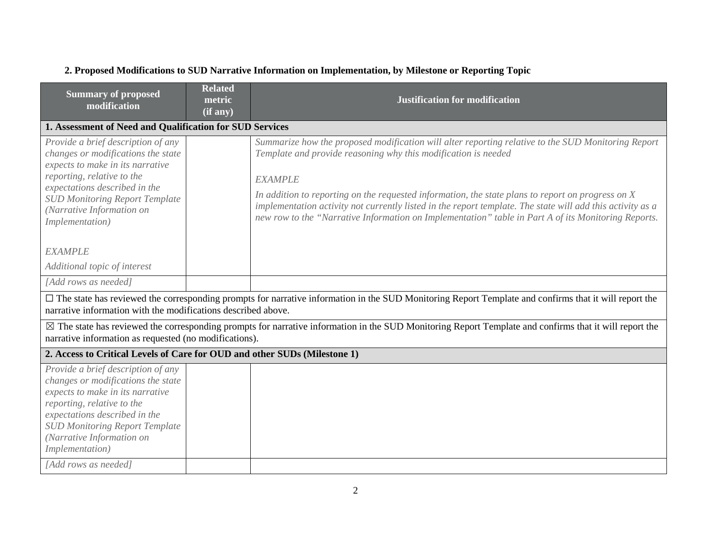| <b>Summary of proposed</b><br>modification                                                                                                                                                                                                                                                   | <b>Related</b><br>metric<br>(if any) | <b>Justification for modification</b>                                                                                                                                                                                                                                                                                                                                                                                                                                                                              |
|----------------------------------------------------------------------------------------------------------------------------------------------------------------------------------------------------------------------------------------------------------------------------------------------|--------------------------------------|--------------------------------------------------------------------------------------------------------------------------------------------------------------------------------------------------------------------------------------------------------------------------------------------------------------------------------------------------------------------------------------------------------------------------------------------------------------------------------------------------------------------|
| 1. Assessment of Need and Qualification for SUD Services                                                                                                                                                                                                                                     |                                      |                                                                                                                                                                                                                                                                                                                                                                                                                                                                                                                    |
| Provide a brief description of any<br>changes or modifications the state<br>expects to make in its narrative<br>reporting, relative to the<br>expectations described in the<br><b>SUD Monitoring Report Template</b><br>(Narrative Information on<br>Implementation)                         |                                      | Summarize how the proposed modification will alter reporting relative to the SUD Monitoring Report<br>Template and provide reasoning why this modification is needed<br><b>EXAMPLE</b><br>In addition to reporting on the requested information, the state plans to report on progress on $X$<br>implementation activity not currently listed in the report template. The state will add this activity as a<br>new row to the "Narrative Information on Implementation" table in Part A of its Monitoring Reports. |
| <b>EXAMPLE</b>                                                                                                                                                                                                                                                                               |                                      |                                                                                                                                                                                                                                                                                                                                                                                                                                                                                                                    |
| Additional topic of interest                                                                                                                                                                                                                                                                 |                                      |                                                                                                                                                                                                                                                                                                                                                                                                                                                                                                                    |
| [Add rows as needed]                                                                                                                                                                                                                                                                         |                                      |                                                                                                                                                                                                                                                                                                                                                                                                                                                                                                                    |
| narrative information with the modifications described above.                                                                                                                                                                                                                                |                                      | $\Box$ The state has reviewed the corresponding prompts for narrative information in the SUD Monitoring Report Template and confirms that it will report the                                                                                                                                                                                                                                                                                                                                                       |
| narrative information as requested (no modifications).                                                                                                                                                                                                                                       |                                      | $\boxtimes$ The state has reviewed the corresponding prompts for narrative information in the SUD Monitoring Report Template and confirms that it will report the                                                                                                                                                                                                                                                                                                                                                  |
| 2. Access to Critical Levels of Care for OUD and other SUDs (Milestone 1)                                                                                                                                                                                                                    |                                      |                                                                                                                                                                                                                                                                                                                                                                                                                                                                                                                    |
| Provide a brief description of any<br>changes or modifications the state<br>expects to make in its narrative<br>reporting, relative to the<br>expectations described in the<br><b>SUD Monitoring Report Template</b><br>(Narrative Information on<br>Implementation)<br>[Add rows as needed] |                                      |                                                                                                                                                                                                                                                                                                                                                                                                                                                                                                                    |
|                                                                                                                                                                                                                                                                                              |                                      |                                                                                                                                                                                                                                                                                                                                                                                                                                                                                                                    |

# **2. Proposed Modifications to SUD Narrative Information on Implementation, by Milestone or Reporting Topic**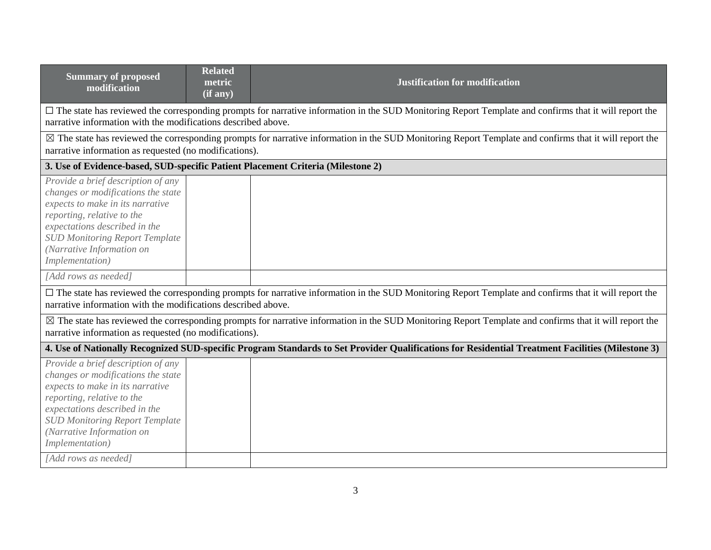| <b>Summary of proposed</b><br>modification                                                                                                                                                                                                                                                   | <b>Related</b><br>metric<br>$\overline{\text{ (if any)}}$ | <b>Justification for modification</b>                                                                                                                   |  |  |
|----------------------------------------------------------------------------------------------------------------------------------------------------------------------------------------------------------------------------------------------------------------------------------------------|-----------------------------------------------------------|---------------------------------------------------------------------------------------------------------------------------------------------------------|--|--|
| narrative information with the modifications described above.                                                                                                                                                                                                                                |                                                           | □ The state has reviewed the corresponding prompts for narrative information in the SUD Monitoring Report Template and confirms that it will report the |  |  |
| narrative information as requested (no modifications).                                                                                                                                                                                                                                       |                                                           | ⊠ The state has reviewed the corresponding prompts for narrative information in the SUD Monitoring Report Template and confirms that it will report the |  |  |
| 3. Use of Evidence-based, SUD-specific Patient Placement Criteria (Milestone 2)                                                                                                                                                                                                              |                                                           |                                                                                                                                                         |  |  |
| Provide a brief description of any<br>changes or modifications the state<br>expects to make in its narrative<br>reporting, relative to the<br>expectations described in the<br><b>SUD Monitoring Report Template</b><br>(Narrative Information on<br>Implementation)                         |                                                           |                                                                                                                                                         |  |  |
| [Add rows as needed]                                                                                                                                                                                                                                                                         |                                                           |                                                                                                                                                         |  |  |
| narrative information with the modifications described above.                                                                                                                                                                                                                                |                                                           | □ The state has reviewed the corresponding prompts for narrative information in the SUD Monitoring Report Template and confirms that it will report the |  |  |
| $\boxtimes$ The state has reviewed the corresponding prompts for narrative information in the SUD Monitoring Report Template and confirms that it will report the<br>narrative information as requested (no modifications).                                                                  |                                                           |                                                                                                                                                         |  |  |
| 4. Use of Nationally Recognized SUD-specific Program Standards to Set Provider Qualifications for Residential Treatment Facilities (Milestone 3)                                                                                                                                             |                                                           |                                                                                                                                                         |  |  |
| Provide a brief description of any<br>changes or modifications the state<br>expects to make in its narrative<br>reporting, relative to the<br>expectations described in the<br><b>SUD Monitoring Report Template</b><br>(Narrative Information on<br>Implementation)<br>[Add rows as needed] |                                                           |                                                                                                                                                         |  |  |
|                                                                                                                                                                                                                                                                                              |                                                           |                                                                                                                                                         |  |  |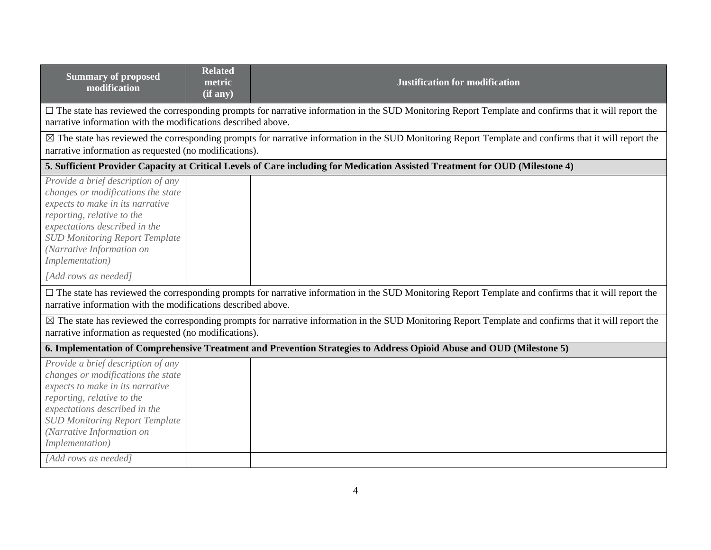| <b>Related</b><br>metric<br>(if any)                                                                                                                                                                                          | <b>Justification for modification</b>                                                                                                                             |  |  |  |
|-------------------------------------------------------------------------------------------------------------------------------------------------------------------------------------------------------------------------------|-------------------------------------------------------------------------------------------------------------------------------------------------------------------|--|--|--|
| narrative information with the modifications described above.                                                                                                                                                                 | $\Box$ The state has reviewed the corresponding prompts for narrative information in the SUD Monitoring Report Template and confirms that it will report the      |  |  |  |
| narrative information as requested (no modifications).                                                                                                                                                                        | $\boxtimes$ The state has reviewed the corresponding prompts for narrative information in the SUD Monitoring Report Template and confirms that it will report the |  |  |  |
|                                                                                                                                                                                                                               | 5. Sufficient Provider Capacity at Critical Levels of Care including for Medication Assisted Treatment for OUD (Milestone 4)                                      |  |  |  |
|                                                                                                                                                                                                                               |                                                                                                                                                                   |  |  |  |
|                                                                                                                                                                                                                               |                                                                                                                                                                   |  |  |  |
| $\Box$ The state has reviewed the corresponding prompts for narrative information in the SUD Monitoring Report Template and confirms that it will report the<br>narrative information with the modifications described above. |                                                                                                                                                                   |  |  |  |
| $\boxtimes$ The state has reviewed the corresponding prompts for narrative information in the SUD Monitoring Report Template and confirms that it will report the<br>narrative information as requested (no modifications).   |                                                                                                                                                                   |  |  |  |
| 6. Implementation of Comprehensive Treatment and Prevention Strategies to Address Opioid Abuse and OUD (Milestone 5)                                                                                                          |                                                                                                                                                                   |  |  |  |
|                                                                                                                                                                                                                               |                                                                                                                                                                   |  |  |  |
|                                                                                                                                                                                                                               |                                                                                                                                                                   |  |  |  |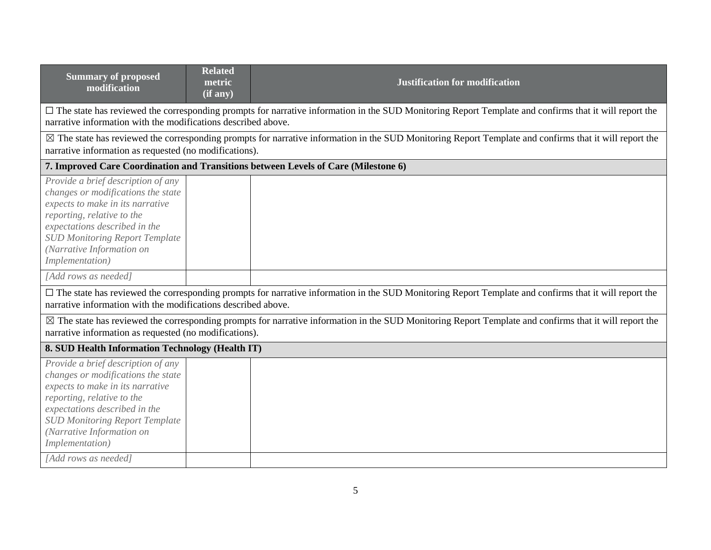| <b>Summary of proposed</b><br>modification                                                                                                                                                                                                                           | <b>Related</b><br>metric<br>(if any)                                                                                                                                                                                     | <b>Justification for modification</b>                                                                                                                             |  |  |  |
|----------------------------------------------------------------------------------------------------------------------------------------------------------------------------------------------------------------------------------------------------------------------|--------------------------------------------------------------------------------------------------------------------------------------------------------------------------------------------------------------------------|-------------------------------------------------------------------------------------------------------------------------------------------------------------------|--|--|--|
| narrative information with the modifications described above.                                                                                                                                                                                                        |                                                                                                                                                                                                                          | $\Box$ The state has reviewed the corresponding prompts for narrative information in the SUD Monitoring Report Template and confirms that it will report the      |  |  |  |
| narrative information as requested (no modifications).                                                                                                                                                                                                               |                                                                                                                                                                                                                          | $\boxtimes$ The state has reviewed the corresponding prompts for narrative information in the SUD Monitoring Report Template and confirms that it will report the |  |  |  |
|                                                                                                                                                                                                                                                                      |                                                                                                                                                                                                                          | 7. Improved Care Coordination and Transitions between Levels of Care (Milestone 6)                                                                                |  |  |  |
| Provide a brief description of any<br>changes or modifications the state<br>expects to make in its narrative<br>reporting, relative to the<br>expectations described in the<br><b>SUD Monitoring Report Template</b><br>(Narrative Information on<br>Implementation) |                                                                                                                                                                                                                          |                                                                                                                                                                   |  |  |  |
| [Add rows as needed]                                                                                                                                                                                                                                                 |                                                                                                                                                                                                                          |                                                                                                                                                                   |  |  |  |
|                                                                                                                                                                                                                                                                      | □ The state has reviewed the corresponding prompts for narrative information in the SUD Monitoring Report Template and confirms that it will report the<br>narrative information with the modifications described above. |                                                                                                                                                                   |  |  |  |
| ⊠ The state has reviewed the corresponding prompts for narrative information in the SUD Monitoring Report Template and confirms that it will report the<br>narrative information as requested (no modifications).                                                    |                                                                                                                                                                                                                          |                                                                                                                                                                   |  |  |  |
| 8. SUD Health Information Technology (Health IT)                                                                                                                                                                                                                     |                                                                                                                                                                                                                          |                                                                                                                                                                   |  |  |  |
| Provide a brief description of any<br>changes or modifications the state<br>expects to make in its narrative<br>reporting, relative to the<br>expectations described in the<br><b>SUD Monitoring Report Template</b><br>(Narrative Information on<br>Implementation) |                                                                                                                                                                                                                          |                                                                                                                                                                   |  |  |  |
| [Add rows as needed]                                                                                                                                                                                                                                                 |                                                                                                                                                                                                                          |                                                                                                                                                                   |  |  |  |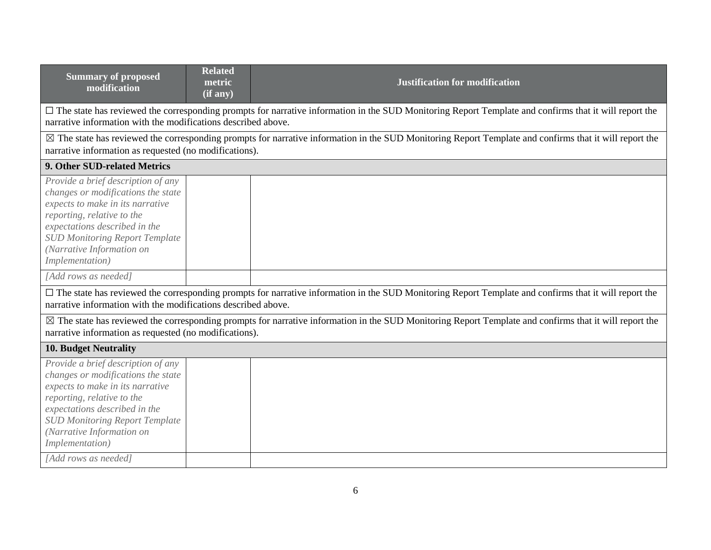| <b>Summary of proposed</b><br>modification                                                                                                                                                                                                                           | <b>Related</b><br>metric<br>(if any) | <b>Justification for modification</b>                                                                                                                   |  |
|----------------------------------------------------------------------------------------------------------------------------------------------------------------------------------------------------------------------------------------------------------------------|--------------------------------------|---------------------------------------------------------------------------------------------------------------------------------------------------------|--|
| narrative information with the modifications described above.                                                                                                                                                                                                        |                                      | □ The state has reviewed the corresponding prompts for narrative information in the SUD Monitoring Report Template and confirms that it will report the |  |
| narrative information as requested (no modifications).                                                                                                                                                                                                               |                                      | ⊠ The state has reviewed the corresponding prompts for narrative information in the SUD Monitoring Report Template and confirms that it will report the |  |
| 9. Other SUD-related Metrics                                                                                                                                                                                                                                         |                                      |                                                                                                                                                         |  |
| Provide a brief description of any<br>changes or modifications the state<br>expects to make in its narrative<br>reporting, relative to the<br>expectations described in the<br><b>SUD Monitoring Report Template</b><br>(Narrative Information on<br>Implementation) |                                      |                                                                                                                                                         |  |
| [Add rows as needed]                                                                                                                                                                                                                                                 |                                      |                                                                                                                                                         |  |
| narrative information with the modifications described above.                                                                                                                                                                                                        |                                      | □ The state has reviewed the corresponding prompts for narrative information in the SUD Monitoring Report Template and confirms that it will report the |  |
| $\boxtimes$ The state has reviewed the corresponding prompts for narrative information in the SUD Monitoring Report Template and confirms that it will report the<br>narrative information as requested (no modifications).                                          |                                      |                                                                                                                                                         |  |
| <b>10. Budget Neutrality</b>                                                                                                                                                                                                                                         |                                      |                                                                                                                                                         |  |
| Provide a brief description of any<br>changes or modifications the state<br>expects to make in its narrative<br>reporting, relative to the<br>expectations described in the<br><b>SUD Monitoring Report Template</b><br>(Narrative Information on<br>Implementation) |                                      |                                                                                                                                                         |  |
| [Add rows as needed]                                                                                                                                                                                                                                                 |                                      |                                                                                                                                                         |  |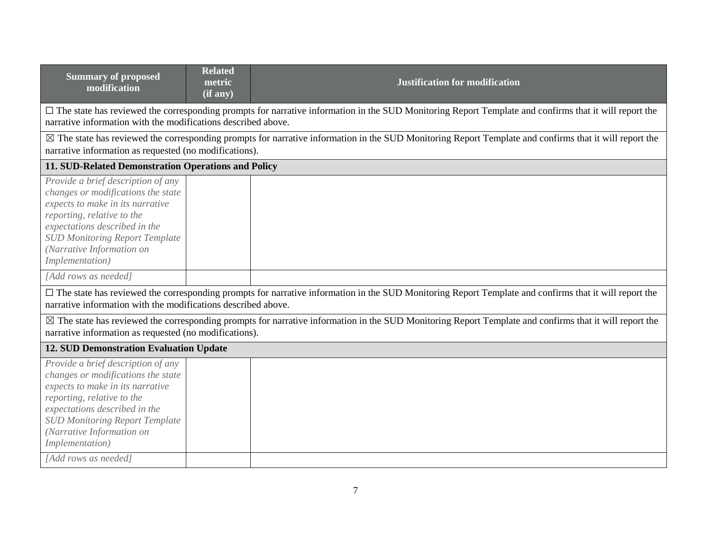| <b>Summary of proposed</b><br>modification                                                                                                                                                                                                                                                   | <b>Related</b><br>metric<br>(if any) | <b>Justification for modification</b>                                                                                                                             |  |  |
|----------------------------------------------------------------------------------------------------------------------------------------------------------------------------------------------------------------------------------------------------------------------------------------------|--------------------------------------|-------------------------------------------------------------------------------------------------------------------------------------------------------------------|--|--|
| narrative information with the modifications described above.                                                                                                                                                                                                                                |                                      | $\Box$ The state has reviewed the corresponding prompts for narrative information in the SUD Monitoring Report Template and confirms that it will report the      |  |  |
| narrative information as requested (no modifications).                                                                                                                                                                                                                                       |                                      | $\boxtimes$ The state has reviewed the corresponding prompts for narrative information in the SUD Monitoring Report Template and confirms that it will report the |  |  |
| 11. SUD-Related Demonstration Operations and Policy                                                                                                                                                                                                                                          |                                      |                                                                                                                                                                   |  |  |
| Provide a brief description of any<br>changes or modifications the state<br>expects to make in its narrative<br>reporting, relative to the<br>expectations described in the<br><b>SUD Monitoring Report Template</b><br>(Narrative Information on<br>Implementation)<br>[Add rows as needed] |                                      |                                                                                                                                                                   |  |  |
| $\Box$ The state has reviewed the corresponding prompts for narrative information in the SUD Monitoring Report Template and confirms that it will report the<br>narrative information with the modifications described above.                                                                |                                      |                                                                                                                                                                   |  |  |
| ⊠ The state has reviewed the corresponding prompts for narrative information in the SUD Monitoring Report Template and confirms that it will report the<br>narrative information as requested (no modifications).                                                                            |                                      |                                                                                                                                                                   |  |  |
| <b>12. SUD Demonstration Evaluation Update</b>                                                                                                                                                                                                                                               |                                      |                                                                                                                                                                   |  |  |
| Provide a brief description of any<br>changes or modifications the state<br>expects to make in its narrative<br>reporting, relative to the<br>expectations described in the<br><b>SUD Monitoring Report Template</b><br>(Narrative Information on<br>Implementation)                         |                                      |                                                                                                                                                                   |  |  |
| [Add rows as needed]                                                                                                                                                                                                                                                                         |                                      |                                                                                                                                                                   |  |  |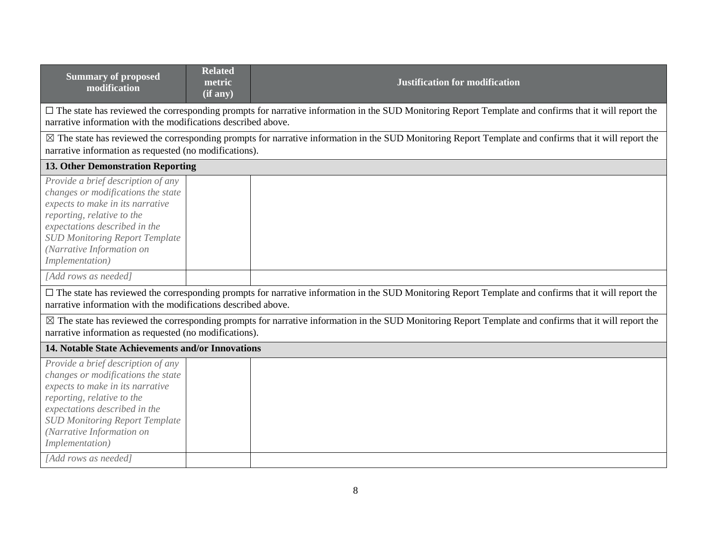| <b>Summary of proposed</b><br>modification                                                                                                                                                                                                                           | <b>Related</b><br>metric<br>$\overline{(\text{if any})}$ | <b>Justification for modification</b>                                                                                                                             |  |  |
|----------------------------------------------------------------------------------------------------------------------------------------------------------------------------------------------------------------------------------------------------------------------|----------------------------------------------------------|-------------------------------------------------------------------------------------------------------------------------------------------------------------------|--|--|
| narrative information with the modifications described above.                                                                                                                                                                                                        |                                                          | □ The state has reviewed the corresponding prompts for narrative information in the SUD Monitoring Report Template and confirms that it will report the           |  |  |
| narrative information as requested (no modifications).                                                                                                                                                                                                               |                                                          | $\boxtimes$ The state has reviewed the corresponding prompts for narrative information in the SUD Monitoring Report Template and confirms that it will report the |  |  |
| <b>13. Other Demonstration Reporting</b>                                                                                                                                                                                                                             |                                                          |                                                                                                                                                                   |  |  |
| Provide a brief description of any<br>changes or modifications the state<br>expects to make in its narrative<br>reporting, relative to the<br>expectations described in the<br><b>SUD Monitoring Report Template</b><br>(Narrative Information on<br>Implementation) |                                                          |                                                                                                                                                                   |  |  |
| [Add rows as needed]                                                                                                                                                                                                                                                 |                                                          |                                                                                                                                                                   |  |  |
| $\Box$ The state has reviewed the corresponding prompts for narrative information in the SUD Monitoring Report Template and confirms that it will report the<br>narrative information with the modifications described above.                                        |                                                          |                                                                                                                                                                   |  |  |
| ⊠ The state has reviewed the corresponding prompts for narrative information in the SUD Monitoring Report Template and confirms that it will report the<br>narrative information as requested (no modifications).                                                    |                                                          |                                                                                                                                                                   |  |  |
| 14. Notable State Achievements and/or Innovations                                                                                                                                                                                                                    |                                                          |                                                                                                                                                                   |  |  |
| Provide a brief description of any<br>changes or modifications the state<br>expects to make in its narrative<br>reporting, relative to the<br>expectations described in the<br><b>SUD Monitoring Report Template</b><br>(Narrative Information on<br>Implementation) |                                                          |                                                                                                                                                                   |  |  |
| [Add rows as needed]                                                                                                                                                                                                                                                 |                                                          |                                                                                                                                                                   |  |  |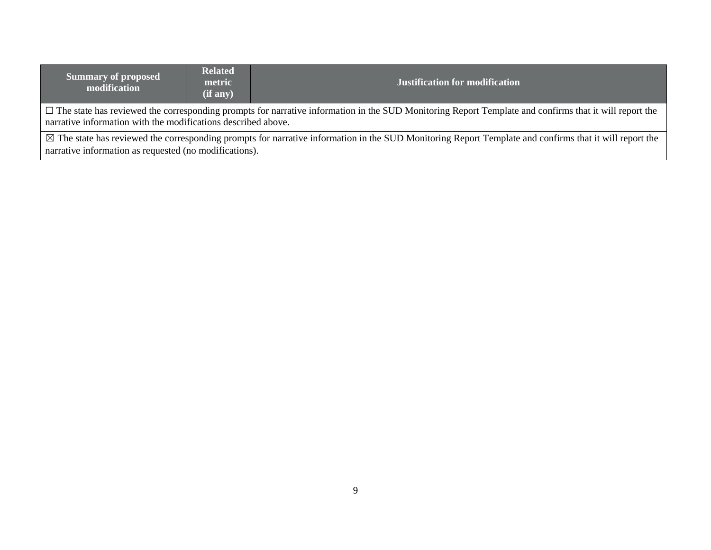| <b>Summary of proposed</b><br>modification                                                                                                                                                                                    | <b>Related</b><br>metric<br>(if any) | <b>Justification for modification</b> |  |  |
|-------------------------------------------------------------------------------------------------------------------------------------------------------------------------------------------------------------------------------|--------------------------------------|---------------------------------------|--|--|
| $\Box$ The state has reviewed the corresponding prompts for narrative information in the SUD Monitoring Report Template and confirms that it will report the<br>narrative information with the modifications described above. |                                      |                                       |  |  |
| $\boxtimes$ The state has reviewed the corresponding prompts for narrative information in the SUD Monitoring Report Template and confirms that it will report the                                                             |                                      |                                       |  |  |
| narrative information as requested (no modifications).                                                                                                                                                                        |                                      |                                       |  |  |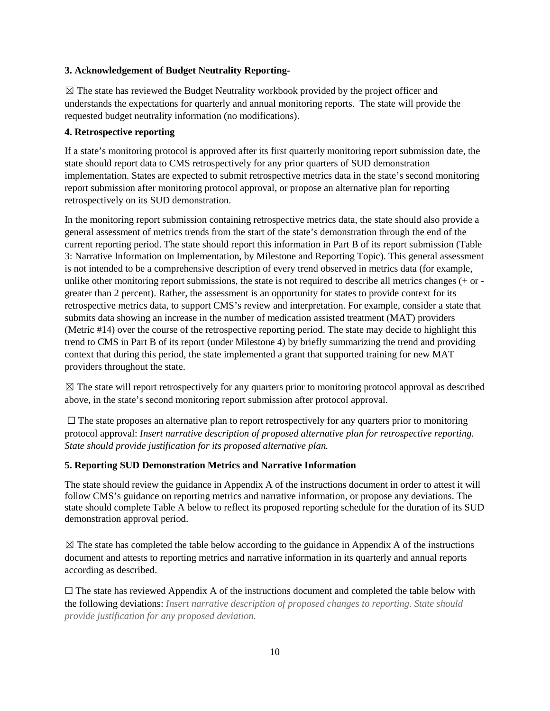## **3. Acknowledgement of Budget Neutrality Reporting-**

 $\boxtimes$  The state has reviewed the Budget Neutrality workbook provided by the project officer and understands the expectations for quarterly and annual monitoring reports. The state will provide the requested budget neutrality information (no modifications).

#### **4. Retrospective reporting**

If a state's monitoring protocol is approved after its first quarterly monitoring report submission date, the state should report data to CMS retrospectively for any prior quarters of SUD demonstration implementation. States are expected to submit retrospective metrics data in the state's second monitoring report submission after monitoring protocol approval, or propose an alternative plan for reporting retrospectively on its SUD demonstration.

In the monitoring report submission containing retrospective metrics data, the state should also provide a general assessment of metrics trends from the start of the state's demonstration through the end of the current reporting period. The state should report this information in Part B of its report submission (Table 3: Narrative Information on Implementation, by Milestone and Reporting Topic). This general assessment is not intended to be a comprehensive description of every trend observed in metrics data (for example, unlike other monitoring report submissions, the state is not required to describe all metrics changes (+ or greater than 2 percent). Rather, the assessment is an opportunity for states to provide context for its retrospective metrics data, to support CMS's review and interpretation. For example, consider a state that submits data showing an increase in the number of medication assisted treatment (MAT) providers (Metric #14) over the course of the retrospective reporting period. The state may decide to highlight this trend to CMS in Part B of its report (under Milestone 4) by briefly summarizing the trend and providing context that during this period, the state implemented a grant that supported training for new MAT providers throughout the state.

 $\boxtimes$  The state will report retrospectively for any quarters prior to monitoring protocol approval as described above, in the state's second monitoring report submission after protocol approval.

 $\Box$  The state proposes an alternative plan to report retrospectively for any quarters prior to monitoring protocol approval: *Insert narrative description of proposed alternative plan for retrospective reporting. State should provide justification for its proposed alternative plan.*

#### **5. Reporting SUD Demonstration Metrics and Narrative Information**

The state should review the guidance in Appendix A of the instructions document in order to attest it will follow CMS's guidance on reporting metrics and narrative information, or propose any deviations. The state should complete Table A below to reflect its proposed reporting schedule for the duration of its SUD demonstration approval period.

 $\boxtimes$  The state has completed the table below according to the guidance in Appendix A of the instructions document and attests to reporting metrics and narrative information in its quarterly and annual reports according as described.

 $\Box$  The state has reviewed Appendix A of the instructions document and completed the table below with the following deviations: *Insert narrative description of proposed changes to reporting. State should provide justification for any proposed deviation.*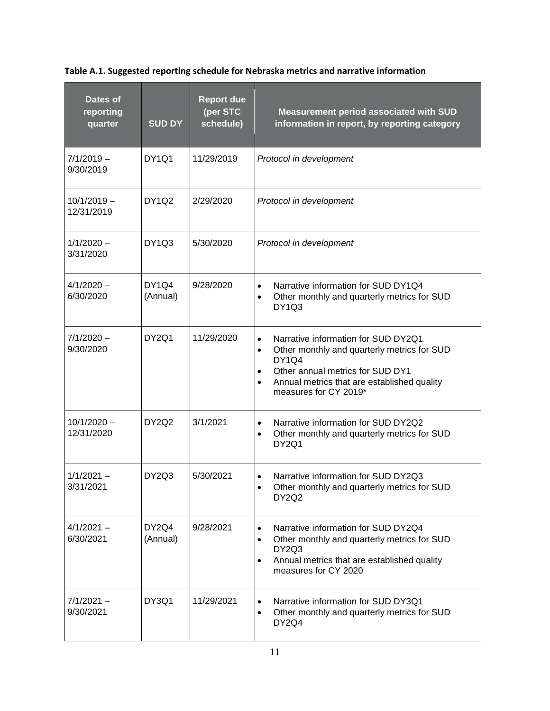**Table A.1. Suggested reporting schedule for Nebraska metrics and narrative information**

| Dates of<br>reporting<br>quarter | <b>SUD DY</b>                              | <b>Report due</b><br>(per STC<br>schedule) | Measurement period associated with SUD<br>information in report, by reporting category                                                                                                                                                   |
|----------------------------------|--------------------------------------------|--------------------------------------------|------------------------------------------------------------------------------------------------------------------------------------------------------------------------------------------------------------------------------------------|
| $7/1/2019 -$<br>9/30/2019        | DY1Q1                                      | 11/29/2019                                 | Protocol in development                                                                                                                                                                                                                  |
| $10/1/2019 -$<br>12/31/2019      | DY1Q2                                      | 2/29/2020                                  | Protocol in development                                                                                                                                                                                                                  |
| $1/1/2020 -$<br>3/31/2020        | DY <sub>1</sub> Q <sub>3</sub>             | 5/30/2020                                  | Protocol in development                                                                                                                                                                                                                  |
| $4/1/2020 -$<br>6/30/2020        | DY <sub>1</sub> Q <sub>4</sub><br>(Annual) | 9/28/2020                                  | Narrative information for SUD DY1Q4<br>$\bullet$<br>Other monthly and quarterly metrics for SUD<br>DY1Q3                                                                                                                                 |
| $7/1/2020 -$<br>9/30/2020        | DY2Q1                                      | 11/29/2020                                 | Narrative information for SUD DY2Q1<br>$\bullet$<br>Other monthly and quarterly metrics for SUD<br><b>DY1Q4</b><br>Other annual metrics for SUD DY1<br>$\bullet$<br>Annual metrics that are established quality<br>measures for CY 2019* |
| $10/1/2020 -$<br>12/31/2020      | DY2Q2                                      | 3/1/2021                                   | Narrative information for SUD DY2Q2<br>$\bullet$<br>Other monthly and quarterly metrics for SUD<br>DY2Q1                                                                                                                                 |
| $1/1/2021 -$<br>3/31/2021        | DY <sub>2</sub> Q <sub>3</sub>             | 5/30/2021                                  | Narrative information for SUD DY2Q3<br>$\bullet$<br>Other monthly and quarterly metrics for SUD<br>DY2Q2                                                                                                                                 |
| $4/1/2021 -$<br>6/30/2021        | DY2Q4<br>(Annual)                          | 9/28/2021                                  | Narrative information for SUD DY2Q4<br>Other monthly and quarterly metrics for SUD<br>DY2Q3<br>Annual metrics that are established quality<br>$\bullet$<br>measures for CY 2020                                                          |
| $7/1/2021 -$<br>9/30/2021        | DY3Q1                                      | 11/29/2021                                 | Narrative information for SUD DY3Q1<br>Other monthly and quarterly metrics for SUD<br>DY2Q4                                                                                                                                              |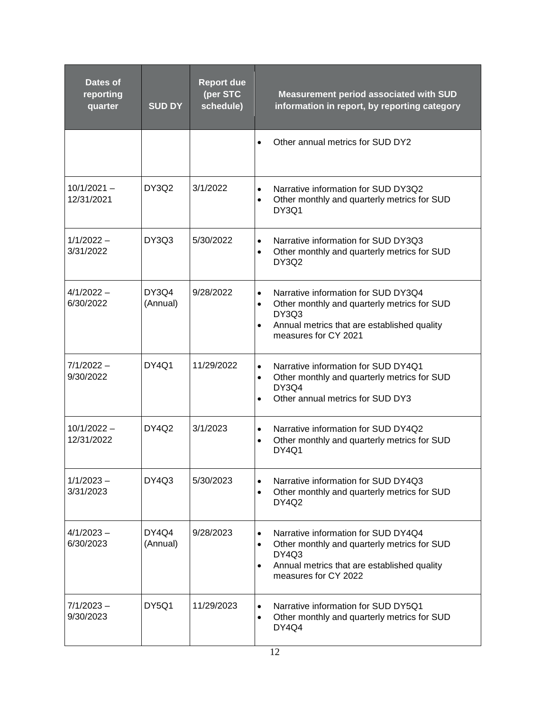| Dates of<br>reporting<br>quarter | <b>SUD DY</b>     | <b>Report due</b><br>(per STC<br>schedule) | <b>Measurement period associated with SUD</b><br>information in report, by reporting category                                                                                                             |
|----------------------------------|-------------------|--------------------------------------------|-----------------------------------------------------------------------------------------------------------------------------------------------------------------------------------------------------------|
|                                  |                   |                                            | Other annual metrics for SUD DY2                                                                                                                                                                          |
| $10/1/2021 -$<br>12/31/2021      | DY3Q2             | 3/1/2022                                   | Narrative information for SUD DY3Q2<br>$\bullet$<br>Other monthly and quarterly metrics for SUD<br>$\bullet$<br>DY3Q1                                                                                     |
| $1/1/2022 -$<br>3/31/2022        | DY3Q3             | 5/30/2022                                  | Narrative information for SUD DY3Q3<br>$\bullet$<br>Other monthly and quarterly metrics for SUD<br>$\bullet$<br><b>DY3Q2</b>                                                                              |
| $4/1/2022 -$<br>6/30/2022        | DY3Q4<br>(Annual) | 9/28/2022                                  | Narrative information for SUD DY3Q4<br>$\bullet$<br>Other monthly and quarterly metrics for SUD<br>$\bullet$<br>DY3Q3<br>Annual metrics that are established quality<br>$\bullet$<br>measures for CY 2021 |
| $7/1/2022 -$<br>9/30/2022        | <b>DY4Q1</b>      | 11/29/2022                                 | Narrative information for SUD DY4Q1<br>$\bullet$<br>Other monthly and quarterly metrics for SUD<br>$\bullet$<br>DY3Q4<br>Other annual metrics for SUD DY3                                                 |
| $10/1/2022 -$<br>12/31/2022      | <b>DY4Q2</b>      | 3/1/2023                                   | Narrative information for SUD DY4Q2<br>$\bullet$<br>Other monthly and quarterly metrics for SUD<br>$\bullet$<br><b>DY4Q1</b>                                                                              |
| $1/1/2023 -$<br>3/31/2023        | DY4Q3             | 5/30/2023                                  | Narrative information for SUD DY4Q3<br>Other monthly and quarterly metrics for SUD<br>$\bullet$<br>DY4Q2                                                                                                  |
| $4/1/2023 -$<br>6/30/2023        | DY4Q4<br>(Annual) | 9/28/2023                                  | Narrative information for SUD DY4Q4<br>$\bullet$<br>Other monthly and quarterly metrics for SUD<br>$\bullet$<br>DY4Q3<br>Annual metrics that are established quality<br>$\bullet$<br>measures for CY 2022 |
| $7/1/2023 -$<br>9/30/2023        | DY5Q1             | 11/29/2023                                 | Narrative information for SUD DY5Q1<br>$\bullet$<br>Other monthly and quarterly metrics for SUD<br>$\bullet$<br>DY4Q4                                                                                     |